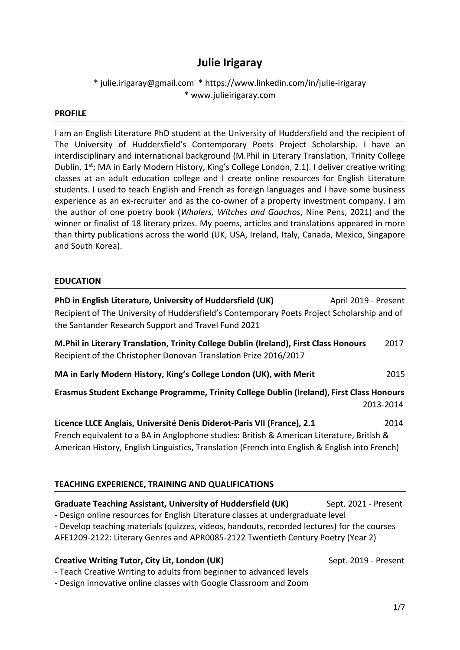# **Julie Irigaray**

# \* julie.irigaray@gmail.com \* https://www.linkedin.com/in/julie-irigaray \* www.julieirigaray.com

#### **PROFILE**

I am an English Literature PhD student at the University of Huddersfield and the recipient of The University of Huddersfield's Contemporary Poets Project Scholarship. I have an interdisciplinary and international background (M.Phil in Literary Translation, Trinity College Dublin, 1<sup>st</sup>; MA in Early Modern History, King's College London, 2.1). I deliver creative writing classes at an adult education college and I create online resources for English Literature students. I used to teach English and French as foreign languages and I have some business experience as an ex-recruiter and as the co-owner of a property investment company. I am the author of one poetry book (*Whalers, Witches and Gauchos*, Nine Pens, 2021) and the winner or finalist of 18 literary prizes. My poems, articles and translations appeared in more than thirty publications across the world (UK, USA, Ireland, Italy, Canada, Mexico, Singapore and South Korea).

#### **EDUCATION**

| PhD in English Literature, University of Huddersfield (UK)<br>Recipient of The University of Huddersfield's Contemporary Poets Project Scholarship and of<br>the Santander Research Support and Travel Fund 2021                                                                                                                          | April 2019 - Present |
|-------------------------------------------------------------------------------------------------------------------------------------------------------------------------------------------------------------------------------------------------------------------------------------------------------------------------------------------|----------------------|
| M.Phil in Literary Translation, Trinity College Dublin (Ireland), First Class Honours<br>Recipient of the Christopher Donovan Translation Prize 2016/2017                                                                                                                                                                                 | 2017                 |
| MA in Early Modern History, King's College London (UK), with Merit                                                                                                                                                                                                                                                                        | 2015                 |
| Erasmus Student Exchange Programme, Trinity College Dublin (Ireland), First Class Honours<br>2013-2014                                                                                                                                                                                                                                    |                      |
| Licence LLCE Anglais, Université Denis Diderot-Paris VII (France), 2.1<br>2014<br>French equivalent to a BA in Anglophone studies: British & American Literature, British &<br>American History, English Linguistics, Translation (French into English & English into French)                                                             |                      |
| <b>TEACHING EXPERIENCE, TRAINING AND QUALIFICATIONS</b>                                                                                                                                                                                                                                                                                   |                      |
| <b>Graduate Teaching Assistant, University of Huddersfield (UK)</b><br>- Design online resources for English Literature classes at undergraduate level<br>- Develop teaching materials (quizzes, videos, handouts, recorded lectures) for the courses<br>AFE1209-2122: Literary Genres and APR0085-2122 Twentieth Century Poetry (Year 2) | Sept. 2021 - Present |
| <b>Creative Writing Tutor, City Lit, London (UK)</b>                                                                                                                                                                                                                                                                                      | Sept. 2019 - Present |

- Teach Creative Writing to adults from beginner to advanced levels

- Design innovative online classes with Google Classroom and Zoom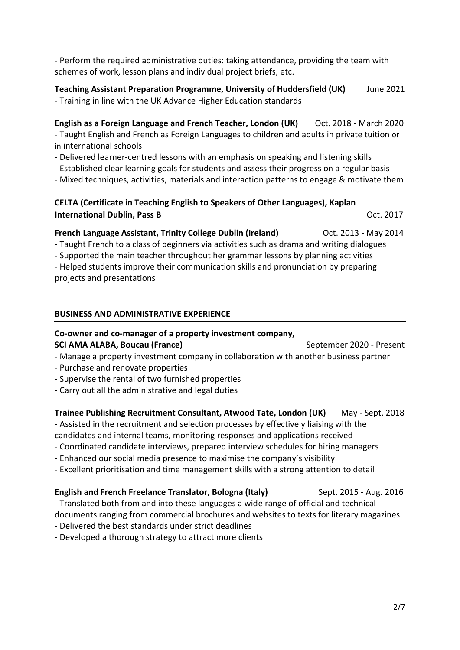- Perform the required administrative duties: taking attendance, providing the team with schemes of work, lesson plans and individual project briefs, etc.

**Teaching Assistant Preparation Programme, University of Huddersfield (UK)** June 2021 - Training in line with the UK Advance Higher Education standards

**English as a Foreign Language and French Teacher, London (UK)** Oct. 2018 - March 2020 - Taught English and French as Foreign Languages to children and adults in private tuition or in international schools

- Delivered learner-centred lessons with an emphasis on speaking and listening skills
- Established clear learning goals for students and assess their progress on a regular basis
- Mixed techniques, activities, materials and interaction patterns to engage & motivate them

# **CELTA (Certificate in Teaching English to Speakers of Other Languages), Kaplan International Dublin, Pass B Oct. 2017**

## **French Language Assistant, Trinity College Dublin (Ireland) Oct. 2013 - May 2014**

- Taught French to a class of beginners via activities such as drama and writing dialogues

- Supported the main teacher throughout her grammar lessons by planning activities
- Helped students improve their communication skills and pronunciation by preparing projects and presentations

## **BUSINESS AND ADMINISTRATIVE EXPERIENCE**

#### **Co-owner and co-manager of a property investment company, SCI AMA ALABA, Boucau (France) SEP EXECUTE:** September 2020 - Present

- Manage a property investment company in collaboration with another business partner
- Purchase and renovate properties
- Supervise the rental of two furnished properties
- Carry out all the administrative and legal duties

# **Trainee Publishing Recruitment Consultant, Atwood Tate, London (UK)** May - Sept. 2018

- Assisted in the recruitment and selection processes by effectively liaising with the

- candidates and internal teams, monitoring responses and applications received
- Coordinated candidate interviews, prepared interview schedules for hiring managers
- Enhanced our social media presence to maximise the company's visibility
- Excellent prioritisation and time management skills with a strong attention to detail

#### **English and French Freelance Translator, Bologna (Italy)** Sept. 2015 - Aug. 2016

- Translated both from and into these languages a wide range of official and technical documents ranging from commercial brochures and websites to texts for literary magazines

- Delivered the best standards under strict deadlines
- Developed a thorough strategy to attract more clients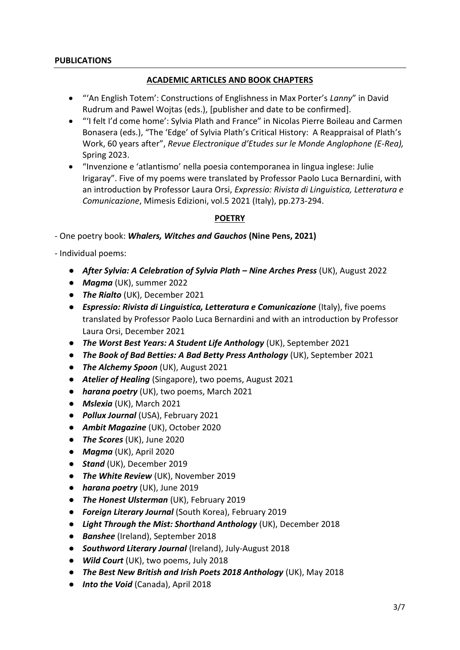#### **PUBLICATIONS**

# **ACADEMIC ARTICLES AND BOOK CHAPTERS**

- "'An English Totem': Constructions of Englishness in Max Porter's *Lanny*" in David Rudrum and Pawel Wojtas (eds.), [publisher and date to be confirmed].
- "'I felt I'd come home': Sylvia Plath and France" in Nicolas Pierre Boileau and Carmen Bonasera (eds.), "The 'Edge' of Sylvia Plath's Critical History: A Reappraisal of Plath's Work, 60 years after", *Revue Electronique d'Etudes sur le Monde Anglophone (E-Rea),*  Spring 2023.
- "Invenzione e 'atlantismo' nella poesia contemporanea in lingua inglese: Julie Irigaray". Five of my poems were translated by Professor Paolo Luca Bernardini, with an introduction by Professor Laura Orsi, *Expressio: Rivista di Linguistica, Letteratura e Comunicazione*, Mimesis Edizioni, vol.5 2021 (Italy), pp.273-294.

# **POETRY**

- One poetry book: *Whalers, Witches and Gauchos* **(Nine Pens, 2021)** 

- Individual poems:
	- *After Sylvia: A Celebration of Sylvia Plath – Nine Arches Press* (UK), August 2022
	- *Magma* (UK), summer 2022
	- *The Rialto* (UK), December 2021
	- *Espressio: Rivista di Linguistica, Letteratura e Comunicazione* (Italy), five poems translated by Professor Paolo Luca Bernardini and with an introduction by Professor Laura Orsi, December 2021
	- *The Worst Best Years: A Student Life Anthology* (UK), September 2021
	- *The Book of Bad Betties: A Bad Betty Press Anthology* (UK), September 2021
	- *The Alchemy Spoon* (UK), August 2021
	- *Atelier of Healing* (Singapore), two poems, August 2021
	- *harana poetry* (UK), two poems, March 2021
	- *Mslexia* (UK), March 2021
	- *Pollux Journal* (USA), February 2021
	- *Ambit Magazine* (UK), October 2020
	- *The Scores* (UK), June 2020
	- *Magma* (UK), April 2020
	- *Stand* (UK), December 2019
	- *The White Review* (UK), November 2019
	- *harana poetry* (UK), June 2019
	- *The Honest Ulsterman* (UK), February 2019
	- *Foreign Literary Journal* (South Korea), February 2019
	- *Light Through the Mist: Shorthand Anthology* (UK), December 2018
	- *Banshee* (Ireland), September 2018
	- *Southword Literary Journal* (Ireland), July-August 2018
	- *Wild Court* (UK), two poems, July 2018
	- *The Best New British and Irish Poets 2018 Anthology* (UK), May 2018
	- *Into the Void* (Canada), April 2018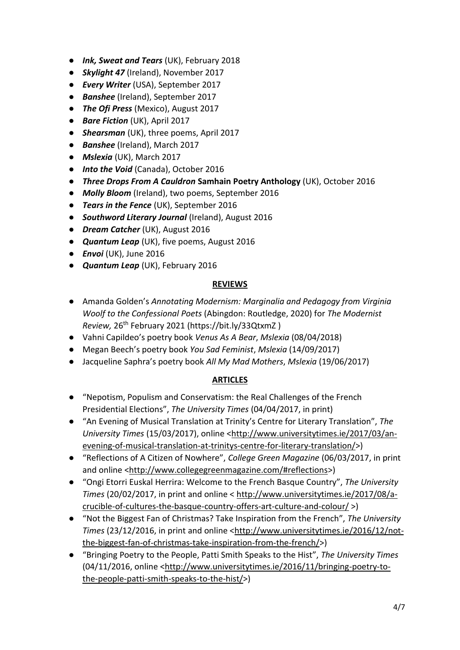- *Ink, Sweat and Tears* (UK), February 2018
- *Skylight 47* (Ireland), November 2017
- *Every Writer* (USA), September 2017
- *Banshee* (Ireland), September 2017
- *The Ofi Press* (Mexico), August 2017
- *Bare Fiction* (UK), April 2017
- *Shearsman* (UK), three poems, April 2017
- *Banshee* (Ireland), March 2017
- *Mslexia* (UK), March 2017
- *Into the Void* (Canada), October 2016
- *Three Drops From A Cauldron* **Samhain Poetry Anthology** (UK), October 2016
- *Molly Bloom* (Ireland), two poems, September 2016
- *Tears in the Fence* (UK), September 2016
- *Southword Literary Journal* (Ireland), August 2016
- *Dream Catcher* (UK), August 2016
- *Quantum Leap* (UK), five poems, August 2016
- *Envoi* (UK), June 2016
- *Quantum Leap* (UK), February 2016

## **REVIEWS**

- Amanda Golden's *Annotating Modernism: Marginalia and Pedagogy from Virginia Woolf to the Confessional Poets* (Abingdon: Routledge, 2020) for *The Modernist Review,* 26th February 2021 (https://bit.ly/33QtxmZ )
- Vahni Capildeo's poetry book *Venus As A Bear*, *Mslexia* (08/04/2018)
- Megan Beech's poetry book *You Sad Feminist*, *Mslexia* (14/09/2017)
- Jacqueline Saphra's poetry book *All My Mad Mothers*, *Mslexia* (19/06/2017)

# **ARTICLES**

- "Nepotism, Populism and Conservatism: the Real Challenges of the French Presidential Elections", *The University Times* (04/04/2017, in print)
- "An Evening of Musical Translation at Trinity's Centre for Literary Translation", *The University Times* (15/03/2017), online [<http://www.universitytimes.ie/2017/03/an](http://www.universitytimes.ie/2017/03/an-evening-of-musical-translation-at-trinitys-centre-for-literary-translation/)[evening-of-musical-translation-at-trinitys-centre-for-literary-translation/>](http://www.universitytimes.ie/2017/03/an-evening-of-musical-translation-at-trinitys-centre-for-literary-translation/))
- "Reflections of A Citizen of Nowhere", *College Green Magazine* (06/03/2017, in print and online [<http://www.collegegreenmagazine.com/#reflections>](http://www.collegegreenmagazine.com/#reflections))
- "Ongi Etorri Euskal Herrira: Welcome to the French Basque Country", *The University Times* (20/02/2017, in print and online < [http://www.universitytimes.ie/2017/08/a](http://www.universitytimes.ie/2017/08/a-crucible-of-cultures-the-basque-country-offers-art-culture-and-colour/)[crucible-of-cultures-the-basque-country-offers-art-culture-and-colour/](http://www.universitytimes.ie/2017/08/a-crucible-of-cultures-the-basque-country-offers-art-culture-and-colour/) >)
- "Not the Biggest Fan of Christmas? Take Inspiration from the French", *The University Times* (23/12/2016, in print and online [<http://www.universitytimes.ie/2016/12/not](http://www.universitytimes.ie/2016/12/not-the-biggest-fan-of-christmas-take-inspiration-from-the-french/)[the-biggest-fan-of-christmas-take-inspiration-from-the-french/>](http://www.universitytimes.ie/2016/12/not-the-biggest-fan-of-christmas-take-inspiration-from-the-french/))
- "Bringing Poetry to the People, Patti Smith Speaks to the Hist", *The University Times* (04/11/2016, online [<http://www.universitytimes.ie/2016/11/bringing-poetry-to](http://www.universitytimes.ie/2016/11/bringing-poetry-to-the-people-patti-smith-speaks-to-the-hist/)[the-people-patti-smith-speaks-to-the-hist/>](http://www.universitytimes.ie/2016/11/bringing-poetry-to-the-people-patti-smith-speaks-to-the-hist/))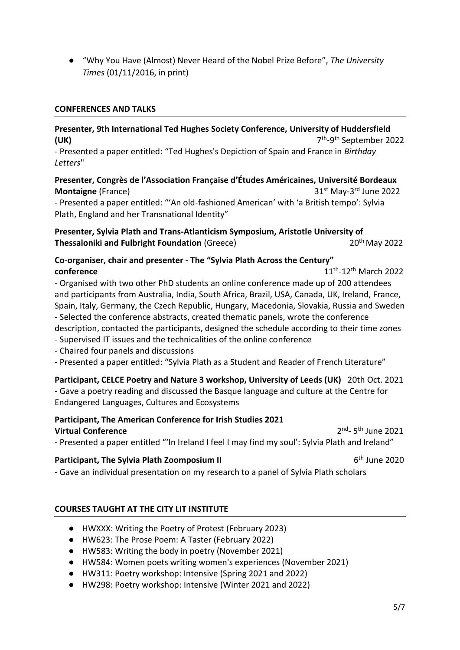● "Why You Have (Almost) Never Heard of the Nobel Prize Before", *The University Times* (01/11/2016, in print)

# **CONFERENCES AND TALKS**

**Presenter, 9th International Ted Hughes Society Conference, University of Huddersfield (UK)** 7 th -9 th September 2022

- Presented a paper entitled: "Ted Hughes's Depiction of Spain and France in *Birthday Letters*"

#### **Presenter, Congrès de l'Association Française d'Études Américaines, Université Bordeaux Montaigne** (France)  $31<sup>st</sup>$  May-3<sup>rd</sup> June 2022

- Presented a paper entitled: "'An old-fashioned American' with 'a British tempo': Sylvia Plath, England and her Transnational Identity"

**Presenter, Sylvia Plath and Trans-Atlanticism Symposium, Aristotle University of Thessaloniki and Fulbright Foundation** (Greece) 20th May 2022

#### **Co-organiser, chair and presenter - The "Sylvia Plath Across the Century"**  conference 11<sup>th</sup>-12<sup>th</sup> March 2022

- Organised with two other PhD students an online conference made up of 200 attendees and participants from Australia, India, South Africa, Brazil, USA, Canada, UK, Ireland, France, Spain, Italy, Germany, the Czech Republic, Hungary, Macedonia, Slovakia, Russia and Sweden - Selected the conference abstracts, created thematic panels, wrote the conference

- description, contacted the participants, designed the schedule according to their time zones
- Supervised IT issues and the technicalities of the online conference
- Chaired four panels and discussions
- Presented a paper entitled: "Sylvia Plath as a Student and Reader of French Literature"

#### **Participant, CELCE Poetry and Nature 3 workshop, University of Leeds (UK)** 20th Oct. 2021

- Gave a poetry reading and discussed the Basque language and culture at the Centre for Endangered Languages, Cultures and Ecosystems

# **Participant, The American Conference for Irish Studies 2021**

**Virtual Conference** 

<sup>nd</sup>- 5<sup>th</sup> June 2021

- Presented a paper entitled "'In Ireland I feel I may find my soul': Sylvia Plath and Ireland"

# **Participant, The Sylvia Plath Zoomposium II** 6

 $6<sup>th</sup>$  June 2020

- Gave an individual presentation on my research to a panel of Sylvia Plath scholars

# **COURSES TAUGHT AT THE CITY LIT INSTITUTE**

- HWXXX: Writing the Poetry of Protest (February 2023)
- HW623: The Prose Poem: A Taster (February 2022)
- HW583: Writing the body in poetry (November 2021)
- HW584: Women poets writing women's experiences (November 2021)
- HW311: Poetry workshop: Intensive (Spring 2021 and 2022)
- HW298: Poetry workshop: Intensive (Winter 2021 and 2022)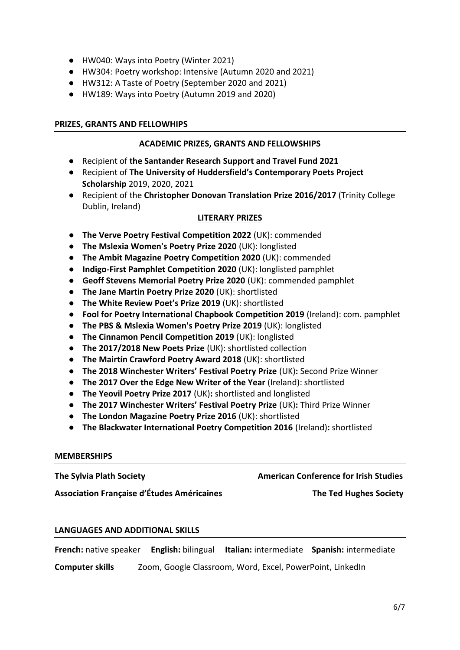- HW040: Ways into Poetry (Winter 2021)
- HW304: Poetry workshop: Intensive (Autumn 2020 and 2021)
- HW312: A Taste of Poetry (September 2020 and 2021)
- HW189: Ways into Poetry (Autumn 2019 and 2020)

# **PRIZES, GRANTS AND FELLOWHIPS**

#### **ACADEMIC PRIZES, GRANTS AND FELLOWSHIPS**

- Recipient of **the Santander Research Support and Travel Fund 2021**
- Recipient of **The University of Huddersfield's Contemporary Poets Project Scholarship** 2019, 2020, 2021
- Recipient of the **Christopher Donovan Translation Prize 2016/2017** (Trinity College Dublin, Ireland)

# **LITERARY PRIZES**

- **The Verve Poetry Festival Competition 2022** (UK): commended
- **The Mslexia Women's Poetry Prize 2020** (UK): longlisted
- **The Ambit Magazine Poetry Competition 2020** (UK): commended
- **Indigo-First Pamphlet Competition 2020** (UK): longlisted pamphlet
- **Geoff Stevens Memorial Poetry Prize 2020** (UK): commended pamphlet
- **The Jane Martin Poetry Prize 2020** (UK): shortlisted
- **The White Review Poet's Prize 2019** (UK): shortlisted
- **Fool for Poetry International Chapbook Competition 2019** (Ireland): com. pamphlet
- **The PBS & Mslexia Women's Poetry Prize 2019** (UK): longlisted
- **The Cinnamon Pencil Competition 2019** (UK): longlisted
- **The 2017/2018 New Poets Prize** (UK): shortlisted collection
- **The Mairtín Crawford Poetry Award 2018** (UK): shortlisted
- **The 2018 Winchester Writers' Festival Poetry Prize** (UK)**:** Second Prize Winner
- **The 2017 Over the Edge New Writer of the Year** (Ireland): shortlisted
- **The Yeovil Poetry Prize 2017** (UK)**:** shortlisted and longlisted
- **The 2017 Winchester Writers' Festival Poetry Prize** (UK)**:** Third Prize Winner
- **The London Magazine Poetry Prize 2016** (UK): shortlisted
- **The Blackwater International Poetry Competition 2016** (Ireland)**:** shortlisted

#### **MEMBERSHIPS**

**The Sylvia Plath Society American Conference for Irish Studies** 

**Association Française d'Études Américaines The Ted Hughes Society** 

#### **LANGUAGES AND ADDITIONAL SKILLS**

**French:** native speaker **English:** bilingual **Italian:** intermediate **Spanish:** intermediate

**Computer skills** Zoom, Google Classroom, Word, Excel, PowerPoint, LinkedIn